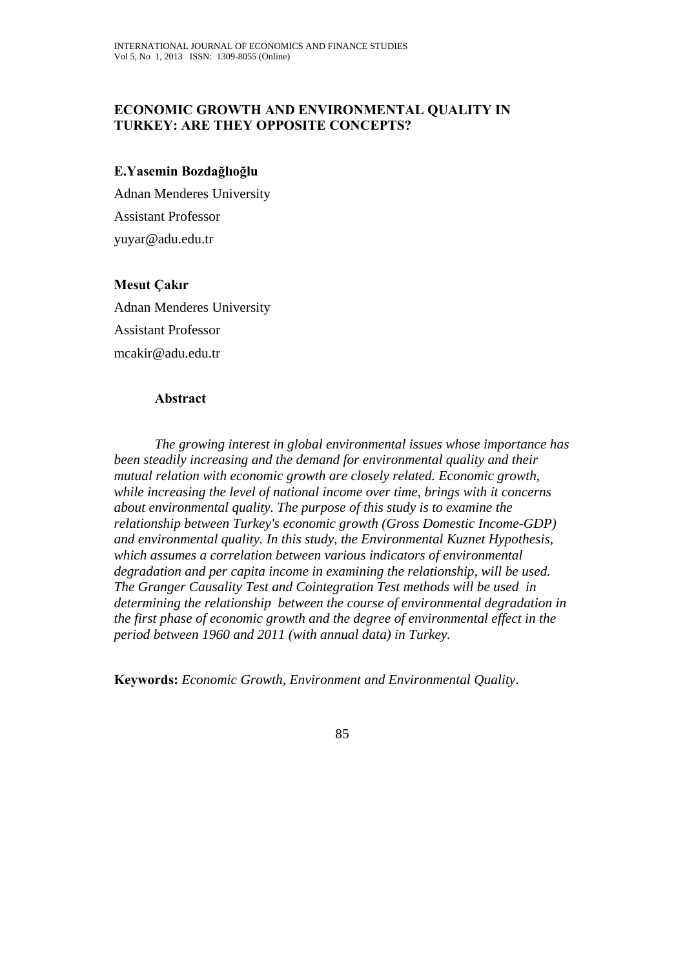## **ECONOMIC GROWTH AND ENVIRONMENTAL QUALITY IN TURKEY: ARE THEY OPPOSITE CONCEPTS?**

#### **E.Yasemin Bozdağlıoğlu**

Adnan Menderes University Assistant Professor yuyar@adu.edu.tr

## **Mesut Çakır**

Adnan Menderes University Assistant Professor mcakir@adu.edu.tr

#### **Abstract**

*The growing interest in global environmental issues whose importance has been steadily increasing and the demand for environmental quality and their mutual relation with economic growth are closely related. Economic growth, while increasing the level of national income over time, brings with it concerns about environmental quality. The purpose of this study is to examine the relationship between Turkey's economic growth (Gross Domestic Income-GDP) and environmental quality. In this study, the Environmental Kuznet Hypothesis, which assumes a correlation between various indicators of environmental degradation and per capita income in examining the relationship, will be used. The Granger Causality Test and Cointegration Test methods will be used in determining the relationship between the course of environmental degradation in the first phase of economic growth and the degree of environmental effect in the period between 1960 and 2011 (with annual data) in Turkey.* 

**Keywords:** *Economic Growth, Environment and Environmental Quality*.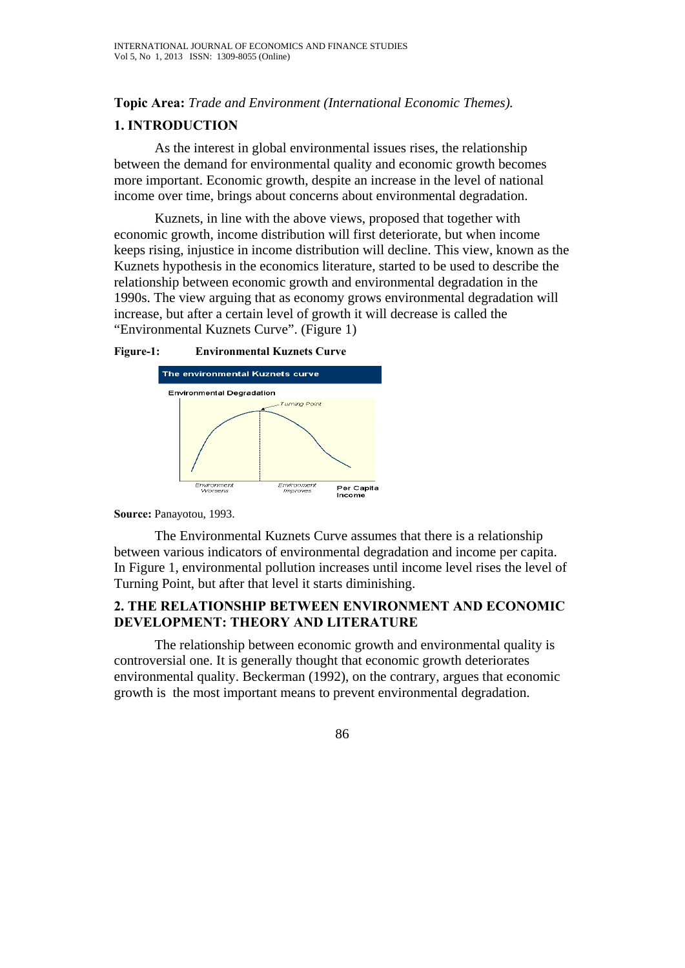**Topic Area:** *Trade and Environment (International Economic Themes).*

#### **1. INTRODUCTION**

As the interest in global environmental issues rises, the relationship between the demand for environmental quality and economic growth becomes more important. Economic growth, despite an increase in the level of national income over time, brings about concerns about environmental degradation.

Kuznets, in line with the above views, proposed that together with economic growth, income distribution will first deteriorate, but when income keeps rising, injustice in income distribution will decline. This view, known as the Kuznets hypothesis in the economics literature, started to be used to describe the relationship between economic growth and environmental degradation in the 1990s. The view arguing that as economy grows environmental degradation will increase, but after a certain level of growth it will decrease is called the "Environmental Kuznets Curve". (Figure 1)





**Source:** Panayotou, 1993.

The Environmental Kuznets Curve assumes that there is a relationship between various indicators of environmental degradation and income per capita. In Figure 1, environmental pollution increases until income level rises the level of Turning Point, but after that level it starts diminishing.

## **2. THE RELATIONSHIP BETWEEN ENVIRONMENT AND ECONOMIC DEVELOPMENT: THEORY AND LITERATURE**

 The relationship between economic growth and environmental quality is controversial one. It is generally thought that economic growth deteriorates environmental quality. Beckerman (1992), on the contrary, argues that economic growth is the most important means to prevent environmental degradation.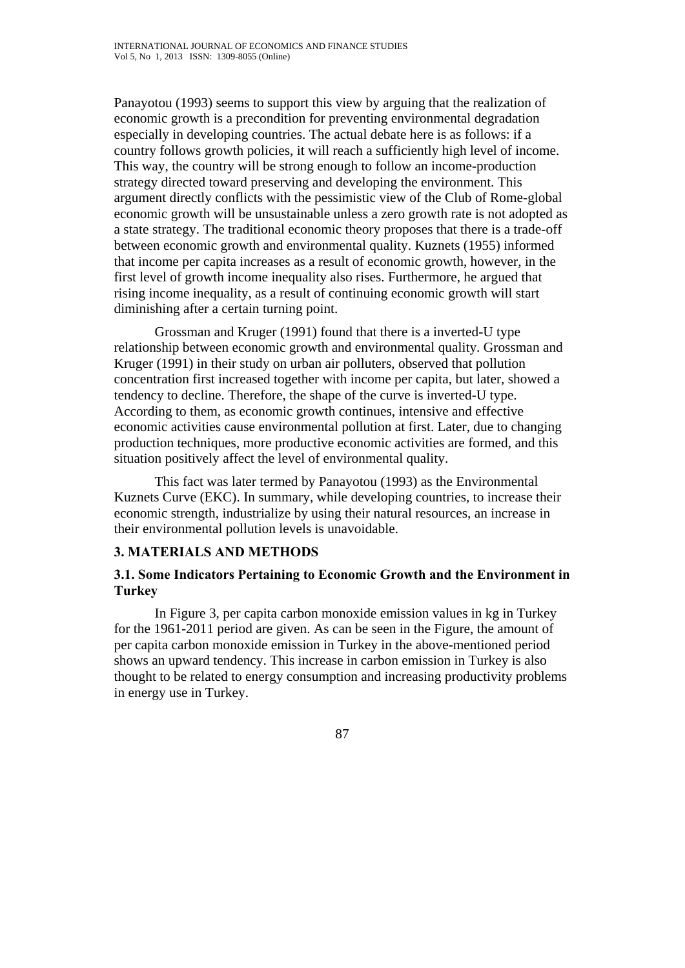Panayotou (1993) seems to support this view by arguing that the realization of economic growth is a precondition for preventing environmental degradation especially in developing countries. The actual debate here is as follows: if a country follows growth policies, it will reach a sufficiently high level of income. This way, the country will be strong enough to follow an income-production strategy directed toward preserving and developing the environment. This argument directly conflicts with the pessimistic view of the Club of Rome-global economic growth will be unsustainable unless a zero growth rate is not adopted as a state strategy. The traditional economic theory proposes that there is a trade-off between economic growth and environmental quality. Kuznets (1955) informed that income per capita increases as a result of economic growth, however, in the first level of growth income inequality also rises. Furthermore, he argued that rising income inequality, as a result of continuing economic growth will start diminishing after a certain turning point.

 Grossman and Kruger (1991) found that there is a inverted-U type relationship between economic growth and environmental quality. Grossman and Kruger (1991) in their study on urban air polluters, observed that pollution concentration first increased together with income per capita, but later, showed a tendency to decline. Therefore, the shape of the curve is inverted-U type. According to them, as economic growth continues, intensive and effective economic activities cause environmental pollution at first. Later, due to changing production techniques, more productive economic activities are formed, and this situation positively affect the level of environmental quality.

This fact was later termed by Panayotou (1993) as the Environmental Kuznets Curve (EKC). In summary, while developing countries, to increase their economic strength, industrialize by using their natural resources, an increase in their environmental pollution levels is unavoidable.

## **3. MATERIALS AND METHODS**

## **3.1. Some Indicators Pertaining to Economic Growth and the Environment in Turkey**

In Figure 3, per capita carbon monoxide emission values in kg in Turkey for the 1961-2011 period are given. As can be seen in the Figure, the amount of per capita carbon monoxide emission in Turkey in the above-mentioned period shows an upward tendency. This increase in carbon emission in Turkey is also thought to be related to energy consumption and increasing productivity problems in energy use in Turkey.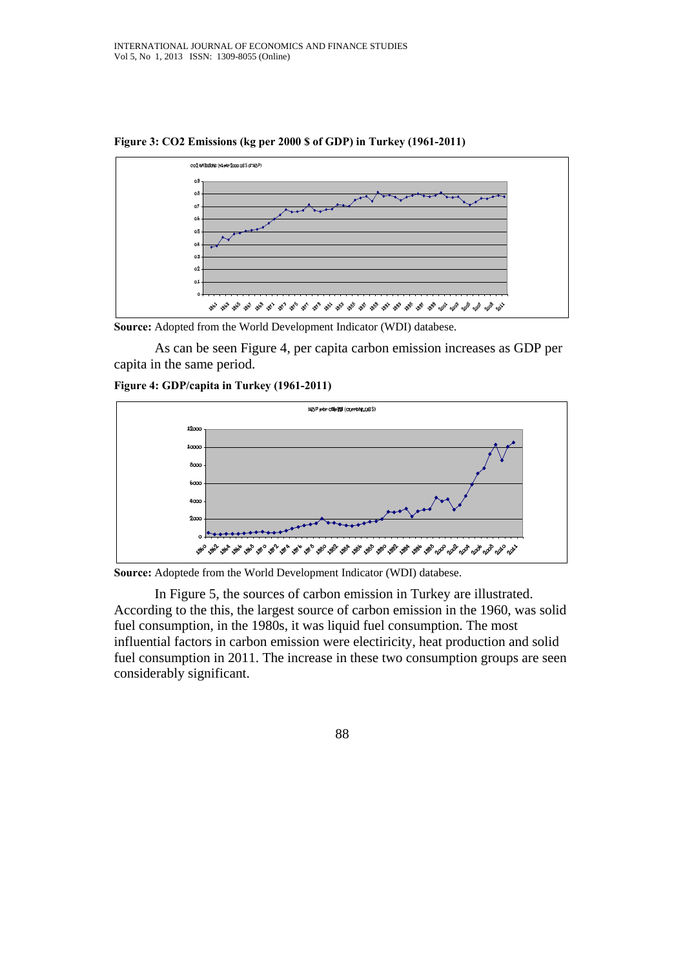

**Figure 3: CO2 Emissions (kg per 2000 \$ of GDP) in Turkey (1961-2011)** 

**Source:** Adopted from the World Development Indicator (WDI) databese.

As can be seen Figure 4, per capita carbon emission increases as GDP per capita in the same period.



**Figure 4: GDP/capita in Turkey (1961-2011)** 

**Source:** Adoptede from the World Development Indicator (WDI) databese.

In Figure 5, the sources of carbon emission in Turkey are illustrated. According to the this, the largest source of carbon emission in the 1960, was solid fuel consumption, in the 1980s, it was liquid fuel consumption. The most influential factors in carbon emission were electiricity, heat production and solid fuel consumption in 2011. The increase in these two consumption groups are seen considerably significant.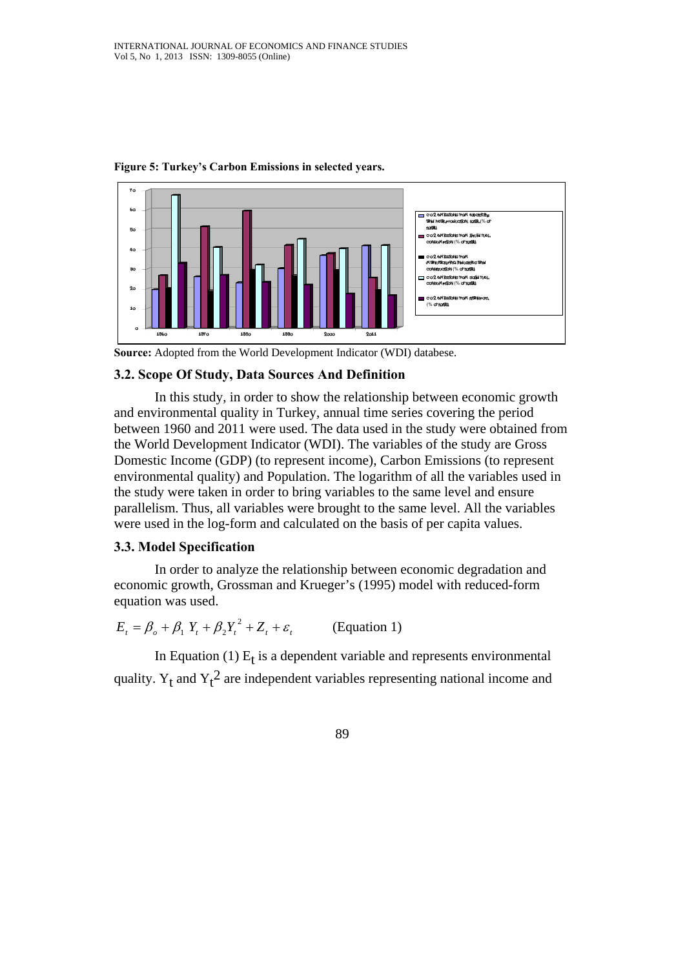

**Figure 5: Turkey's Carbon Emissions in selected years.** 

**Source:** Adopted from the World Development Indicator (WDI) databese.

## **3.2. Scope Of Study, Data Sources And Definition**

In this study, in order to show the relationship between economic growth and environmental quality in Turkey, annual time series covering the period between 1960 and 2011 were used. The data used in the study were obtained from the World Development Indicator (WDI). The variables of the study are Gross Domestic Income (GDP) (to represent income), Carbon Emissions (to represent environmental quality) and Population. The logarithm of all the variables used in the study were taken in order to bring variables to the same level and ensure parallelism. Thus, all variables were brought to the same level. All the variables were used in the log-form and calculated on the basis of per capita values.

## **3.3. Model Specification**

In order to analyze the relationship between economic degradation and economic growth, Grossman and Krueger's (1995) model with reduced-form equation was used.

 $E_t = \beta_o + \beta_1 Y_t + \beta_2 Y_t^2 + Z_t + \varepsilon_t$  (Equation 1)

In Equation (1)  $E_t$  is a dependent variable and represents environmental quality.  $Y_t$  and  $Y_t^2$  are independent variables representing national income and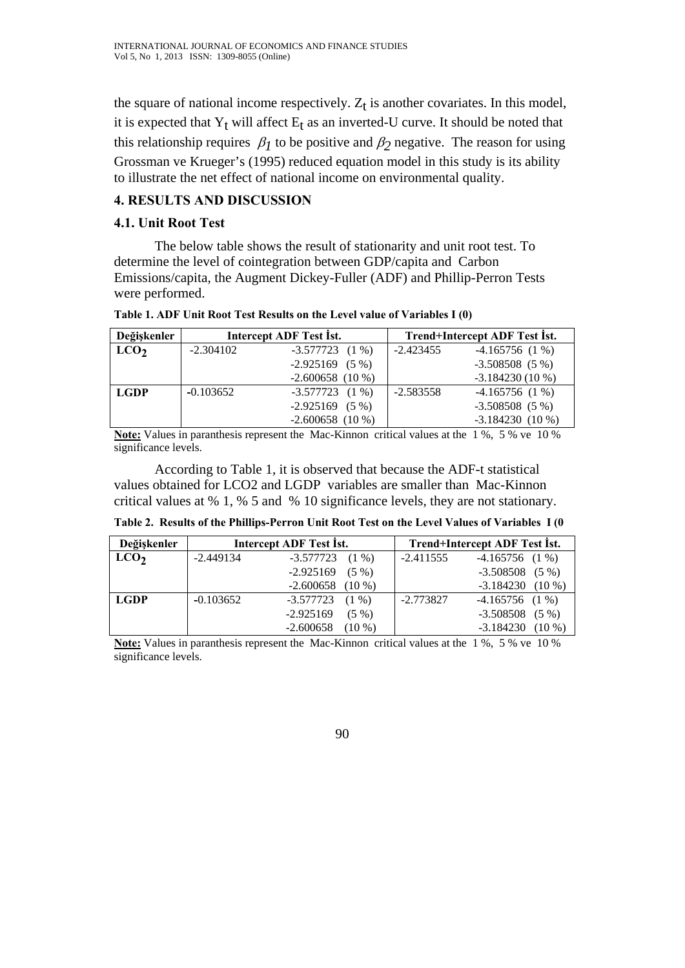the square of national income respectively.  $Z_t$  is another covariates. In this model, it is expected that  $Y_t$  will affect  $E_t$  as an inverted-U curve. It should be noted that this relationship requires  $\beta_l$  to be positive and  $\beta_2$  negative. The reason for using Grossman ve Krueger's (1995) reduced equation model in this study is its ability to illustrate the net effect of national income on environmental quality.

# **4. RESULTS AND DISCUSSION**

## **4.1. Unit Root Test**

The below table shows the result of stationarity and unit root test. To determine the level of cointegration between GDP/capita and Carbon Emissions/capita, the Augment Dickey-Fuller (ADF) and Phillip-Perron Tests were performed.

| Table 1. ADF Unit Root Test Results on the Level value of Variables I (0) |           |                         |                               |                  |  |  |  |
|---------------------------------------------------------------------------|-----------|-------------------------|-------------------------------|------------------|--|--|--|
| Değiskenler                                                               |           | Intercept ADF Test Ist. | Trend+Intercept ADF Test Ist. |                  |  |  |  |
| LCO <sub>2</sub>                                                          | -2.304102 | $-3.577723$ (1 %)       | -2.423455                     | $-4.165756(1\%)$ |  |  |  |
|                                                                           |           | $0.025100$ $(E_0)$      |                               | $2.500500$ (F 0) |  |  |  |

| <sub>LO</sub> 2 | $-2.304102$ | $-3.577723$ (1 %) | $-2.423455$ | $-4.165756(1\%)$  |
|-----------------|-------------|-------------------|-------------|-------------------|
|                 |             | $-2.925169$ (5 %) |             | $-3.508508(5\%)$  |
|                 |             | $-2.600658(10\%)$ |             | $-3.184230(10\%)$ |
| LGDP            | $-0.103652$ | $-3.577723$ (1 %) | $-2.583558$ | $-4.165756(1\%)$  |
|                 |             | $-2.925169$ (5 %) |             | $-3.508508(5\%)$  |
|                 |             | $-2.600658(10\%)$ |             | $-3.184230(10\%)$ |

**Note:** Values in paranthesis represent the Mac-Kinnon critical values at the 1 %, 5 % ve 10 % significance levels.

According to Table 1, it is observed that because the ADF-t statistical values obtained for LCO2 and LGDP variables are smaller than Mac-Kinnon critical values at % 1, % 5 and % 10 significance levels, they are not stationary.

**Table 2. Results of the Phillips-Perron Unit Root Test on the Level Values of Variables I (0**

| Değişkenler      |             | Intercept ADF Test Ist. | Trend+Intercept ADF Test Ist. |                         |  |
|------------------|-------------|-------------------------|-------------------------------|-------------------------|--|
| LCO <sub>2</sub> | $-2.449134$ | -3.577723<br>$(1\% )$   | $-2.411555$                   | $-4.165756$ (1 %)       |  |
|                  |             | $-2.925169$<br>$(5 \%)$ |                               | -3.508508<br>$(5\%)$    |  |
|                  |             | $-2.600658$<br>$(10\%)$ |                               | $(10\%)$<br>$-3.184230$ |  |
| <b>LGDP</b>      | $-0.103652$ | $-3.577723$ (1 %)       | $-2.773827$                   | $-4.165756$ (1 %)       |  |
|                  |             | $-2.925169$<br>$(5 \%)$ |                               | $-3.508508$<br>$(5\% )$ |  |
|                  |             | $(10\%)$<br>$-2.600658$ |                               | $(10\%)$<br>$-3.184230$ |  |

**Note:** Values in paranthesis represent the Mac-Kinnon critical values at the 1 %, 5 % ve 10 % significance levels.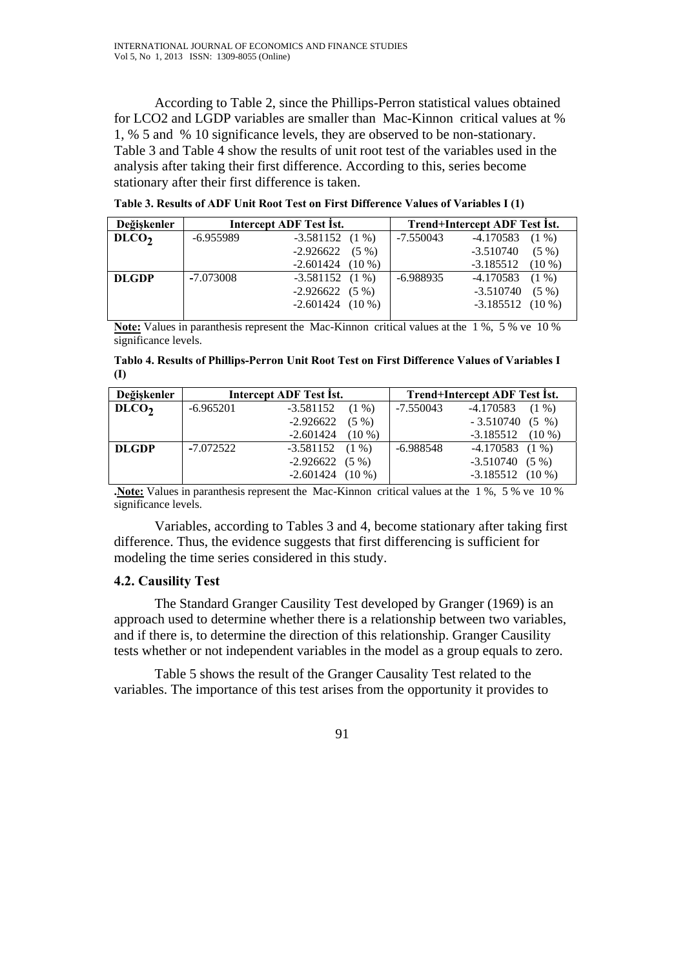According to Table 2, since the Phillips-Perron statistical values obtained for LCO2 and LGDP variables are smaller than Mac-Kinnon critical values at % 1, % 5 and % 10 significance levels, they are observed to be non-stationary. Table 3 and Table 4 show the results of unit root test of the variables used in the analysis after taking their first difference. According to this, series become stationary after their first difference is taken.

| Değişkenler     |             | Intercept ADF Test Ist. | Trend+Intercept ADF Test Ist. |                         |  |
|-----------------|-------------|-------------------------|-------------------------------|-------------------------|--|
| D <sub>LO</sub> | $-6.955989$ | $-3.581152$ (1 %)       | $-7.550043$                   | -4.170583<br>$(1\%)$    |  |
|                 |             | -2.926622<br>$(5\% )$   |                               | $-3.510740$<br>$(5\%)$  |  |
|                 |             | $-2.601424$ (10 %)      |                               | $-3.185512$<br>$(10\%)$ |  |
| <b>DLGDP</b>    | $-7.073008$ | $-3.581152$ (1 %)       | $-6.988935$                   | -4.170583<br>$(1\%)$    |  |
|                 |             | $-2.926622$ (5 %)       |                               | $-3.510740$<br>$(5\%)$  |  |
|                 |             | $-2.601424$ (10 %)      |                               | $-3.185512$ (10 %)      |  |
|                 |             |                         |                               |                         |  |

**Table 3. Results of ADF Unit Root Test on First Difference Values of Variables I (1)** 

**Note:** Values in paranthesis represent the Mac-Kinnon critical values at the 1 %, 5 % ve 10 % significance levels.

**Tablo 4. Results of Phillips-Perron Unit Root Test on First Difference Values of Variables I (I)** 

| Değişkenler       |             | Intercept ADF Test Ist. | Trend+Intercept ADF Test Ist. |                       |  |
|-------------------|-------------|-------------------------|-------------------------------|-----------------------|--|
| DLCO <sub>2</sub> | $-6.965201$ | $-3.581152$<br>$(1\% )$ | -7.550043                     | -4.170583<br>$(1\%)$  |  |
|                   |             | -2.926622<br>$(5\%)$    |                               | $-3.510740(5\%)$      |  |
|                   |             | $-2.601424$<br>$(10\%)$ |                               | -3.185512<br>$(10\%)$ |  |
| <b>DLGDP</b>      | $-7.072522$ | $-3.581152$ (1 %)       | -6.988548                     | $-4.170583$ (1 %)     |  |
|                   |             | $-2.926622(5%)$         |                               | $-3.510740(5\%)$      |  |
|                   |             | $-2.601424$ (10 %)      |                               | $-3.185512$ (10 %)    |  |

**.Note:** Values in paranthesis represent the Mac-Kinnon critical values at the 1 %, 5 % ve 10 % significance levels.

Variables, according to Tables 3 and 4, become stationary after taking first difference. Thus, the evidence suggests that first differencing is sufficient for modeling the time series considered in this study.

#### **4.2. Causility Test**

 The Standard Granger Causility Test developed by Granger (1969) is an approach used to determine whether there is a relationship between two variables, and if there is, to determine the direction of this relationship. Granger Causility tests whether or not independent variables in the model as a group equals to zero.

Table 5 shows the result of the Granger Causality Test related to the variables. The importance of this test arises from the opportunity it provides to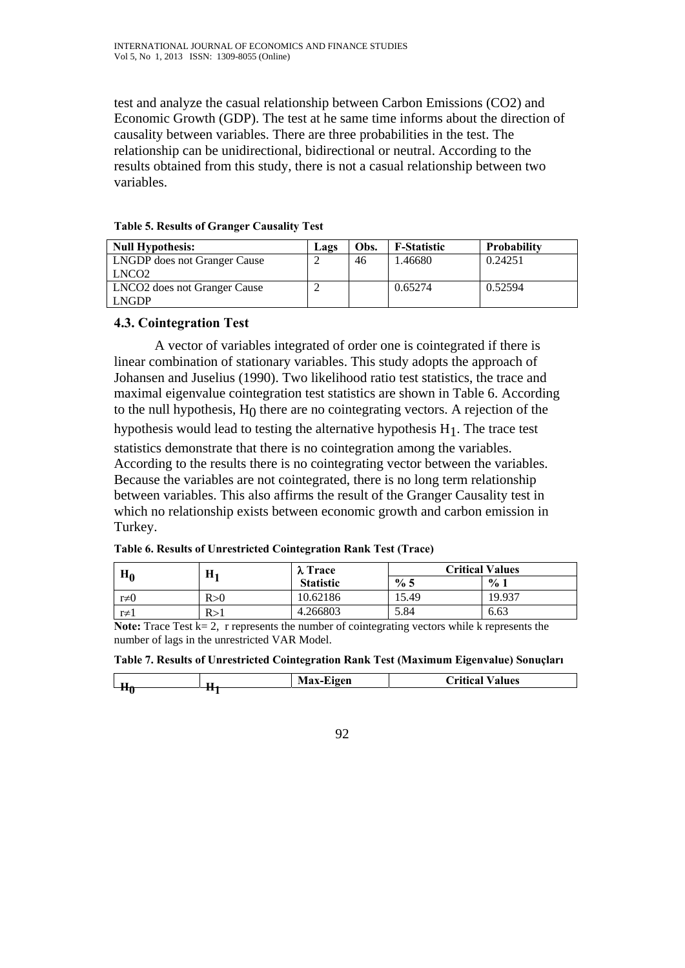test and analyze the casual relationship between Carbon Emissions (CO2) and Economic Growth (GDP). The test at he same time informs about the direction of causality between variables. There are three probabilities in the test. The relationship can be unidirectional, bidirectional or neutral. According to the results obtained from this study, there is not a casual relationship between two variables.

| <b>Null Hypothesis:</b>                                  | Lags | Obs. | <b>F-Statistic</b> | <b>Probability</b> |
|----------------------------------------------------------|------|------|--------------------|--------------------|
| <b>LNGDP</b> does not Granger Cause<br>LNCO <sub>2</sub> |      | 46   | 1.46680            | 0.24251            |
| <b>LNCO2</b> does not Granger Cause<br><b>LNGDP</b>      |      |      | 0.65274            | 0.52594            |

#### **Table 5. Results of Granger Causality Test**

#### **4.3. Cointegration Test**

 A vector of variables integrated of order one is cointegrated if there is linear combination of stationary variables. This study adopts the approach of Johansen and Juselius (1990). Two likelihood ratio test statistics, the trace and maximal eigenvalue cointegration test statistics are shown in Table 6. According to the null hypothesis,  $H_0$  there are no cointegrating vectors. A rejection of the hypothesis would lead to testing the alternative hypothesis  $H_1$ . The trace test statistics demonstrate that there is no cointegration among the variables. According to the results there is no cointegrating vector between the variables. Because the variables are not cointegrated, there is no long term relationship between variables. This also affirms the result of the Granger Causality test in which no relationship exists between economic growth and carbon emission in Turkey.

| H۵        | Н1  | $\lambda$ Trace  | <b>Critical Values</b> |        |  |
|-----------|-----|------------------|------------------------|--------|--|
|           |     | <b>Statistic</b> | % 5                    | $\%1$  |  |
| $r\neq 0$ | R>0 | 10.62186         | 15.49                  | 19.937 |  |
| $r\neq 1$ | R>1 | 4.266803         | 5.84                   | 6.63   |  |

**Table 6. Results of Unrestricted Cointegration Rank Test (Trace)** 

**Note:** Trace Test  $k = 2$ , r represents the number of cointegrating vectors while k represents the number of lags in the unrestricted VAR Model.

|  |  | Table 7. Results of Unrestricted Cointegration Rank Test (Maximum Eigenvalue) Sonuçları |
|--|--|-----------------------------------------------------------------------------------------|
|  |  |                                                                                         |

| $-$ | Max.<br>--<br>agen<br>. .<br> | `ritical<br>alues |
|-----|-------------------------------|-------------------|
| ப   |                               |                   |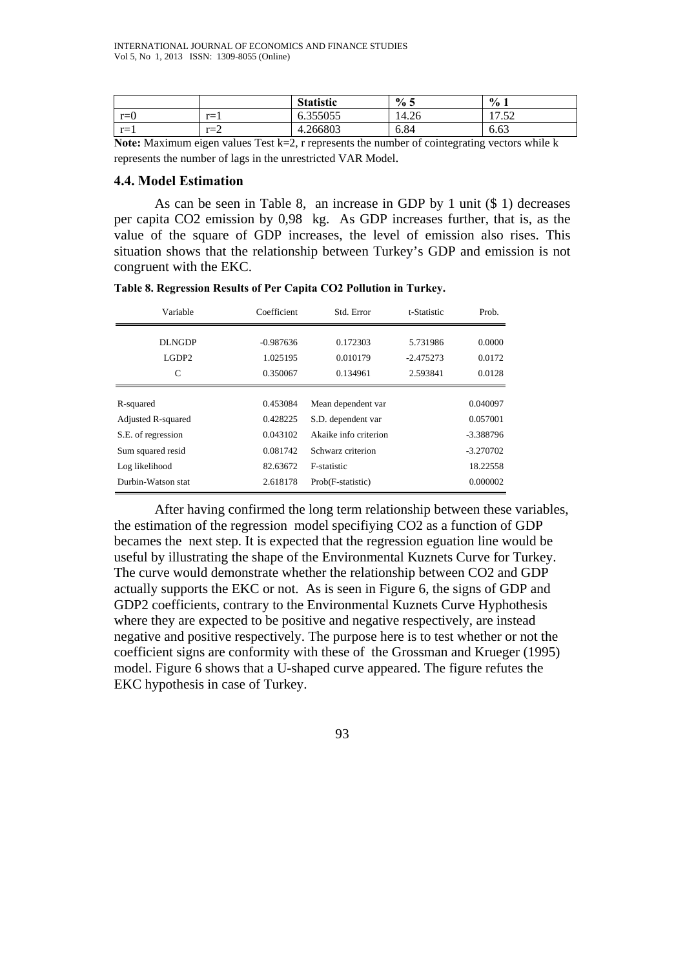|         |         | <b>Statistic</b>     | $\%$ 5 | $\frac{6}{10}$<br>л.                                           |
|---------|---------|----------------------|--------|----------------------------------------------------------------|
| $r = 0$ | $r=1$   | 255055<br>0.JJJUJJ   | 14.26  | $\epsilon$<br>$\overline{\phantom{0}}$<br>$\mathbf{1}$<br>ے بی |
| $r=1$   | $r = 2$ | 4.266803<br>$\Delta$ | 6.84   | $\sim$<br>0.63                                                 |

Note: Maximum eigen values Test k=2, r represents the number of cointegrating vectors while k represents the number of lags in the unrestricted VAR Model.

#### **4.4. Model Estimation**

As can be seen in Table 8, an increase in GDP by 1 unit (\$ 1) decreases per capita CO2 emission by 0,98 kg. As GDP increases further, that is, as the value of the square of GDP increases, the level of emission also rises. This situation shows that the relationship between Turkey's GDP and emission is not congruent with the EKC.

| Variable                       | Coefficient | Std. Error            | t-Statistic | Prob.       |
|--------------------------------|-------------|-----------------------|-------------|-------------|
| DLNGDP                         | $-0.987636$ | 0.172303              | 5.731986    | 0.0000      |
| LGDP <sub>2</sub>              | 1.025195    | 0.010179              | $-2.475273$ | 0.0172      |
| C                              | 0.350067    | 0.134961              | 2.593841    | 0.0128      |
|                                |             |                       |             |             |
| R-squared                      | 0.453084    | Mean dependent var    |             | 0.040097    |
| Adjusted R-squared             | 0.428225    | S.D. dependent var    |             | 0.057001    |
| S.E. of regression             | 0.043102    | Akaike info criterion |             | $-3.388796$ |
| Sum squared resid              | 0.081742    | Schwarz criterion     |             | $-3.270702$ |
| Log likelihood                 | 82.63672    | F-statistic           |             | 18.22558    |
| Durbin-Watson stat<br>2.618178 |             | Prob(F-statistic)     |             | 0.000002    |

| Table 8. Regression Results of Per Capita CO2 Pollution in Turkey. |  |  |  |  |
|--------------------------------------------------------------------|--|--|--|--|
|                                                                    |  |  |  |  |

After having confirmed the long term relationship between these variables, the estimation of the regression model specifiying CO2 as a function of GDP becames the next step. It is expected that the regression eguation line would be useful by illustrating the shape of the Environmental Kuznets Curve for Turkey. The curve would demonstrate whether the relationship between CO2 and GDP actually supports the EKC or not. As is seen in Figure 6, the signs of GDP and GDP2 coefficients, contrary to the Environmental Kuznets Curve Hyphothesis where they are expected to be positive and negative respectively, are instead negative and positive respectively. The purpose here is to test whether or not the coefficient signs are conformity with these of the Grossman and Krueger (1995) model. Figure 6 shows that a U-shaped curve appeared. The figure refutes the EKC hypothesis in case of Turkey.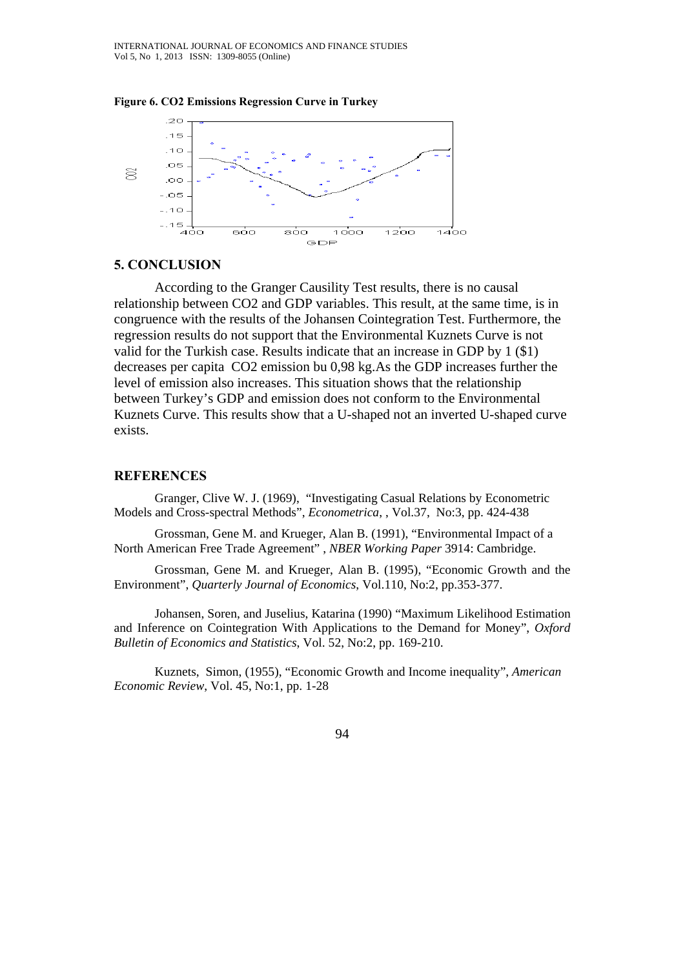



#### **5. CONCLUSION**

According to the Granger Causility Test results, there is no causal relationship between CO2 and GDP variables. This result, at the same time, is in congruence with the results of the Johansen Cointegration Test. Furthermore, the regression results do not support that the Environmental Kuznets Curve is not valid for the Turkish case. Results indicate that an increase in GDP by 1 (\$1) decreases per capita CO2 emission bu 0,98 kg.As the GDP increases further the level of emission also increases. This situation shows that the relationship between Turkey's GDP and emission does not conform to the Environmental Kuznets Curve. This results show that a U-shaped not an inverted U-shaped curve exists.

#### **REFERENCES**

Granger, Clive W. J. (1969), "Investigating Casual Relations by Econometric Models and Cross-spectral Methods", *Econometrica*, , Vol.37, No:3, pp. 424-438

Grossman, Gene M. and Krueger, Alan B. (1991), "Environmental Impact of a North American Free Trade Agreement" , *NBER Working Paper* 3914: Cambridge.

Grossman, Gene M. and Krueger, Alan B. (1995), "Economic Growth and the Environment", *Quarterly Journal of Economics*, Vol.110, No:2, pp.353-377.

Johansen, Soren, and Juselius, Katarina (1990) "Maximum Likelihood Estimation and Inference on Cointegration With Applications to the Demand for Money", *Oxford Bulletin of Economics and Statistics*, Vol. 52, No:2, pp. 169-210.

Kuznets, Simon, (1955), "Economic Growth and Income inequality", *American Economic Review*, Vol. 45, No:1, pp. 1-28